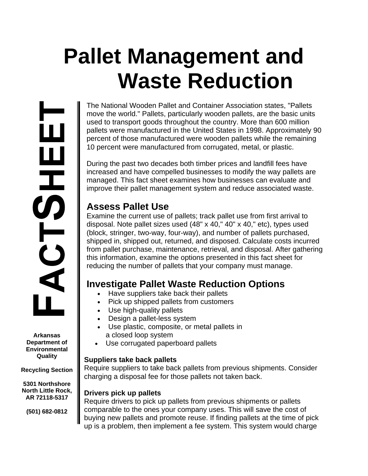# **Pallet Management and Waste Reduction**

The National Wooden Pallet and Container Association states, "Pallets move the world." Pallets, particularly wooden pallets, are the basic units used to transport goods throughout the country. More than 600 million pallets were manufactured in the United States in 1998. Approximately 90 percent of those manufactured were wooden pallets while the remaining 10 percent were manufactured from corrugated, metal, or plastic.

During the past two decades both timber prices and landfill fees have increased and have compelled businesses to modify the way pallets are managed. This fact sheet examines how businesses can evaluate and improve their pallet management system and reduce associated waste.

## **Assess Pallet Use**

Examine the current use of pallets; track pallet use from first arrival to disposal. Note pallet sizes used (48" x 40," 40" x 40," etc), types used (block, stringer, two-way, four-way), and number of pallets purchased, shipped in, shipped out, returned, and disposed. Calculate costs incurred from pallet purchase, maintenance, retrieval, and disposal. After gathering this information, examine the options presented in this fact sheet for reducing the number of pallets that your company must manage.

## **Investigate Pallet Waste Reduction Options**

- Have suppliers take back their pallets
- Pick up shipped pallets from customers
- Use high-quality pallets
- Design a pallet-less system
- Use plastic, composite, or metal pallets in a closed loop system
- Use corrugated paperboard pallets

## **Suppliers take back pallets**

Require suppliers to take back pallets from previous shipments. Consider charging a disposal fee for those pallets not taken back.

## **Drivers pick up pallets**

Require drivers to pick up pallets from previous shipments or pallets comparable to the ones your company uses. This will save the cost of buying new pallets and promote reuse. If finding pallets at the time of pick up is a problem, then implement a fee system. This system would charge

**Arkansas Department of Environmental Quality** 

<u>іп</u>

出力のこ

 $\blacktriangleleft$ 

**Recycling Section** 

**5301 Northshore North Little Rock, AR 72118-5317** 

**(501) 682-0812**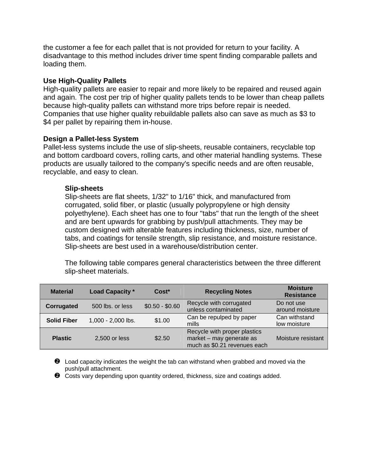the customer a fee for each pallet that is not provided for return to your facility. A disadvantage to this method includes driver time spent finding comparable pallets and loading them.

#### **Use High-Quality Pallets**

High-quality pallets are easier to repair and more likely to be repaired and reused again and again. The cost per trip of higher quality pallets tends to be lower than cheap pallets because high-quality pallets can withstand more trips before repair is needed. Companies that use higher quality rebuildable pallets also can save as much as \$3 to \$4 per pallet by repairing them in-house.

#### **Design a Pallet-less System**

Pallet-less systems include the use of slip-sheets, reusable containers, recyclable top and bottom cardboard covers, rolling carts, and other material handling systems. These products are usually tailored to the company's specific needs and are often reusable, recyclable, and easy to clean.

#### **Slip-sheets**

Slip-sheets are flat sheets, 1/32" to 1/16" thick, and manufactured from corrugated, solid fiber, or plastic (usually polypropylene or high density polyethylene). Each sheet has one to four "tabs" that run the length of the sheet and are bent upwards for grabbing by push/pull attachments. They may be custom designed with alterable features including thickness, size, number of tabs, and coatings for tensile strength, slip resistance, and moisture resistance. Slip-sheets are best used in a warehouse/distribution center.

The following table compares general characteristics between the three different slip-sheet materials.

| <b>Material</b>    | <b>Load Capacity *</b><br>$Cost*$ |                 | <b>Recycling Notes</b>                                                                   | <b>Moisture</b><br><b>Resistance</b> |
|--------------------|-----------------------------------|-----------------|------------------------------------------------------------------------------------------|--------------------------------------|
| <b>Corrugated</b>  | 500 lbs. or less                  | $$0.50 - $0.60$ | Recycle with corrugated<br>unless contaminated                                           | Do not use<br>around moisture        |
| <b>Solid Fiber</b> | 1,000 - 2,000 lbs.                | \$1.00          | Can be repulped by paper<br>mills                                                        | Can withstand<br>low moisture        |
| <b>Plastic</b>     | 2,500 or less                     | \$2.50          | Recycle with proper plastics<br>market - may generate as<br>much as \$0.21 revenues each | Moisture resistant                   |

 $\bullet$  Load capacity indicates the weight the tab can withstand when grabbed and moved via the push/pull attachment.

 $\bullet$  Costs vary depending upon quantity ordered, thickness, size and coatings added.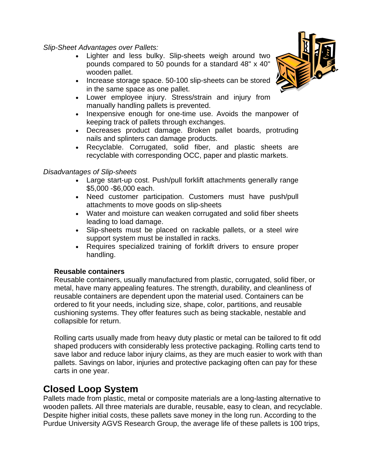*Slip-Sheet Advantages over Pallets:* 

- Lighter and less bulky. Slip-sheets weigh around two pounds compared to 50 pounds for a standard 48" x 40" wooden pallet.
- Increase storage space. 50-100 slip-sheets can be stored in the same space as one pallet.
- Lower employee injury. Stress/strain and injury from manually handling pallets is prevented.
- Inexpensive enough for one-time use. Avoids the manpower of keeping track of pallets through exchanges.
- Decreases product damage. Broken pallet boards, protruding nails and splinters can damage products.
- Recyclable. Corrugated, solid fiber, and plastic sheets are recyclable with corresponding OCC, paper and plastic markets.

## *Disadvantages of Slip-sheets*

- Large start-up cost. Push/pull forklift attachments generally range \$5,000 -\$6,000 each.
- Need customer participation. Customers must have push/pull attachments to move goods on slip-sheets
- Water and moisture can weaken corrugated and solid fiber sheets leading to load damage.
- Slip-sheets must be placed on rackable pallets, or a steel wire support system must be installed in racks.
- Requires specialized training of forklift drivers to ensure proper handling.

## **Reusable containers**

Reusable containers, usually manufactured from plastic, corrugated, solid fiber, or metal, have many appealing features. The strength, durability, and cleanliness of reusable containers are dependent upon the material used. Containers can be ordered to fit your needs, including size, shape, color, partitions, and reusable cushioning systems. They offer features such as being stackable, nestable and collapsible for return.

Rolling carts usually made from heavy duty plastic or metal can be tailored to fit odd shaped producers with considerably less protective packaging. Rolling carts tend to save labor and reduce labor injury claims, as they are much easier to work with than pallets. Savings on labor, injuries and protective packaging often can pay for these carts in one year.

## **Closed Loop System**

Pallets made from plastic, metal or composite materials are a long-lasting alternative to wooden pallets. All three materials are durable, reusable, easy to clean, and recyclable. Despite higher initial costs, these pallets save money in the long run. According to the Purdue University AGVS Research Group, the average life of these pallets is 100 trips,

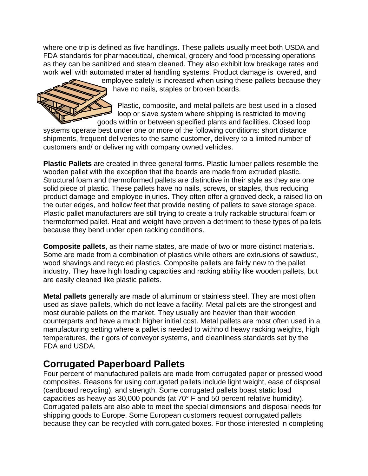where one trip is defined as five handlings. These pallets usually meet both USDA and FDA standards for pharmaceutical, chemical, grocery and food processing operations as they can be sanitized and steam cleaned. They also exhibit low breakage rates and work well with automated material handling systems. Product damage is lowered, and



employee safety is increased when using these pallets because they have no nails, staples or broken boards.

Plastic, composite, and metal pallets are best used in a closed loop or slave system where shipping is restricted to moving goods within or between specified plants and facilities. Closed loop

systems operate best under one or more of the following conditions: short distance shipments, frequent deliveries to the same customer, delivery to a limited number of customers and/ or delivering with company owned vehicles.

**Plastic Pallets** are created in three general forms. Plastic lumber pallets resemble the wooden pallet with the exception that the boards are made from extruded plastic. Structural foam and thermoformed pallets are distinctive in their style as they are one solid piece of plastic. These pallets have no nails, screws, or staples, thus reducing product damage and employee injuries. They often offer a grooved deck, a raised lip on the outer edges, and hollow feet that provide nesting of pallets to save storage space. Plastic pallet manufacturers are still trying to create a truly rackable structural foam or thermoformed pallet. Heat and weight have proven a detriment to these types of pallets because they bend under open racking conditions.

**Composite pallets**, as their name states, are made of two or more distinct materials. Some are made from a combination of plastics while others are extrusions of sawdust, wood shavings and recycled plastics. Composite pallets are fairly new to the pallet industry. They have high loading capacities and racking ability like wooden pallets, but are easily cleaned like plastic pallets.

**Metal pallets** generally are made of aluminum or stainless steel. They are most often used as slave pallets, which do not leave a facility. Metal pallets are the strongest and most durable pallets on the market. They usually are heavier than their wooden counterparts and have a much higher initial cost. Metal pallets are most often used in a manufacturing setting where a pallet is needed to withhold heavy racking weights, high temperatures, the rigors of conveyor systems, and cleanliness standards set by the FDA and USDA.

## **Corrugated Paperboard Pallets**

Four percent of manufactured pallets are made from corrugated paper or pressed wood composites. Reasons for using corrugated pallets include light weight, ease of disposal (cardboard recycling), and strength. Some corrugated pallets boast static load capacities as heavy as 30,000 pounds (at 70° F and 50 percent relative humidity). Corrugated pallets are also able to meet the special dimensions and disposal needs for shipping goods to Europe. Some European customers request corrugated pallets because they can be recycled with corrugated boxes. For those interested in completing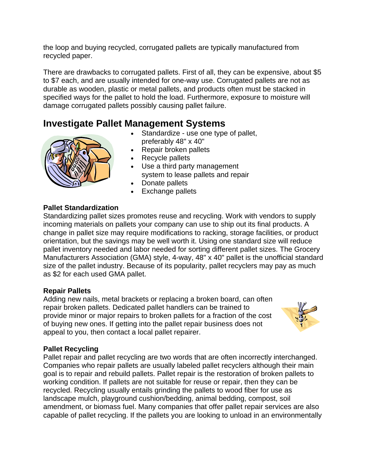the loop and buying recycled, corrugated pallets are typically manufactured from recycled paper.

There are drawbacks to corrugated pallets. First of all, they can be expensive, about \$5 to \$7 each, and are usually intended for one-way use. Corrugated pallets are not as durable as wooden, plastic or metal pallets, and products often must be stacked in specified ways for the pallet to hold the load. Furthermore, exposure to moisture will damage corrugated pallets possibly causing pallet failure.

## **Investigate Pallet Management Systems**

- Standardize use one type of pallet. preferably 48" x 40" • Repair broken pallets
	- Recycle pallets
	- Use a third party management system to lease pallets and repair
	- Donate pallets
	- Exchange pallets

## **Pallet Standardization**

Standardizing pallet sizes promotes reuse and recycling. Work with vendors to supply incoming materials on pallets your company can use to ship out its final products. A change in pallet size may require modifications to racking, storage facilities, or product orientation, but the savings may be well worth it. Using one standard size will reduce pallet inventory needed and labor needed for sorting different pallet sizes. The Grocery Manufacturers Association (GMA) style, 4-way, 48" x 40" pallet is the unofficial standard size of the pallet industry. Because of its popularity, pallet recyclers may pay as much as \$2 for each used GMA pallet.

## **Repair Pallets**

Adding new nails, metal brackets or replacing a broken board, can often repair broken pallets. Dedicated pallet handlers can be trained to provide minor or major repairs to broken pallets for a fraction of the cost of buying new ones. If getting into the pallet repair business does not appeal to you, then contact a local pallet repairer.



## **Pallet Recycling**

Pallet repair and pallet recycling are two words that are often incorrectly interchanged. Companies who repair pallets are usually labeled pallet recyclers although their main goal is to repair and rebuild pallets. Pallet repair is the restoration of broken pallets to working condition. If pallets are not suitable for reuse or repair, then they can be recycled. Recycling usually entails grinding the pallets to wood fiber for use as landscape mulch, playground cushion/bedding, animal bedding, compost, soil amendment, or biomass fuel. Many companies that offer pallet repair services are also capable of pallet recycling. If the pallets you are looking to unload in an environmentally

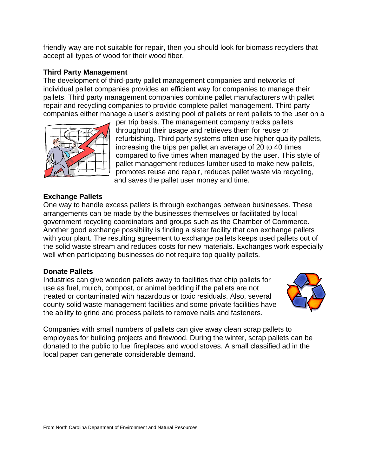friendly way are not suitable for repair, then you should look for biomass recyclers that accept all types of wood for their wood fiber.

## **Third Party Management**

The development of third-party pallet management companies and networks of individual pallet companies provides an efficient way for companies to manage their pallets. Third party management companies combine pallet manufacturers with pallet repair and recycling companies to provide complete pallet management. Third party companies either manage a user's existing pool of pallets or rent pallets to the user on a



per trip basis. The management company tracks pallets throughout their usage and retrieves them for reuse or refurbishing. Third party systems often use higher quality pallets, increasing the trips per pallet an average of 20 to 40 times compared to five times when managed by the user. This style of pallet management reduces lumber used to make new pallets, promotes reuse and repair, reduces pallet waste via recycling, and saves the pallet user money and time.

## **Exchange Pallets**

One way to handle excess pallets is through exchanges between businesses. These arrangements can be made by the businesses themselves or facilitated by local government recycling coordinators and groups such as the Chamber of Commerce. Another good exchange possibility is finding a sister facility that can exchange pallets with your plant. The resulting agreement to exchange pallets keeps used pallets out of the solid waste stream and reduces costs for new materials. Exchanges work especially well when participating businesses do not require top quality pallets.

## **Donate Pallets**

Industries can give wooden pallets away to facilities that chip pallets for use as fuel, mulch, compost, or animal bedding if the pallets are not treated or contaminated with hazardous or toxic residuals. Also, several county solid waste management facilities and some private facilities have the ability to grind and process pallets to remove nails and fasteners.



Companies with small numbers of pallets can give away clean scrap pallets to employees for building projects and firewood. During the winter, scrap pallets can be donated to the public to fuel fireplaces and wood stoves. A small classified ad in the local paper can generate considerable demand.